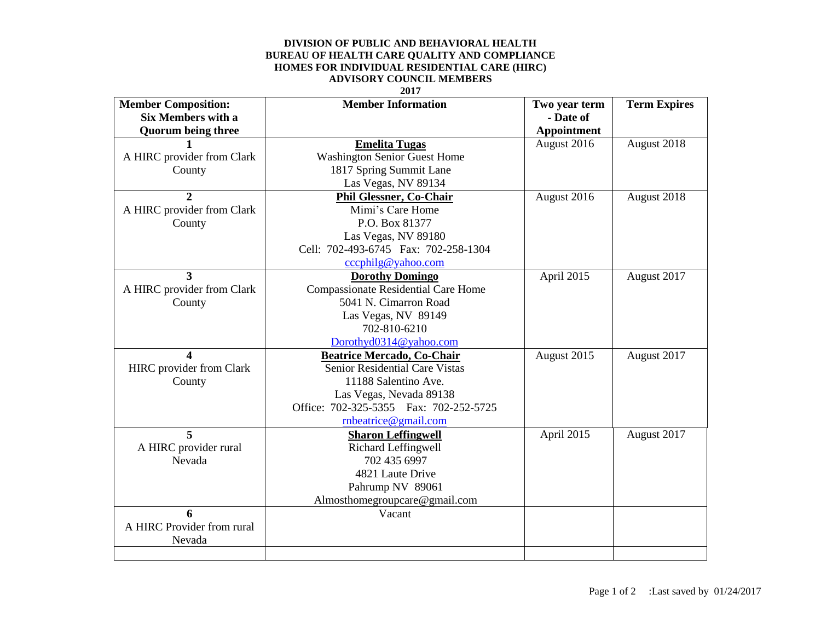## **DIVISION OF PUBLIC AND BEHAVIORAL HEALTH BUREAU OF HEALTH CARE QUALITY AND COMPLIANCE HOMES FOR INDIVIDUAL RESIDENTIAL CARE (HIRC) ADVISORY COUNCIL MEMBERS**

## **2017**

| <b>Member Composition:</b> | <b>Member Information</b>                  | Two year term | <b>Term Expires</b> |
|----------------------------|--------------------------------------------|---------------|---------------------|
| <b>Six Members with a</b>  |                                            | - Date of     |                     |
| <b>Quorum being three</b>  |                                            | Appointment   |                     |
|                            | <b>Emelita Tugas</b>                       | August 2016   | August 2018         |
| A HIRC provider from Clark | <b>Washington Senior Guest Home</b>        |               |                     |
| County                     | 1817 Spring Summit Lane                    |               |                     |
|                            | Las Vegas, NV 89134                        |               |                     |
| $\overline{2}$             | <b>Phil Glessner, Co-Chair</b>             | August 2016   | August 2018         |
| A HIRC provider from Clark | Mimi's Care Home                           |               |                     |
| County                     | P.O. Box 81377                             |               |                     |
|                            | Las Vegas, NV 89180                        |               |                     |
|                            | Cell: 702-493-6745 Fax: 702-258-1304       |               |                     |
|                            | cccphilg@yahoo.com                         |               |                     |
| 3                          | <b>Dorothy Domingo</b>                     | April 2015    | August 2017         |
| A HIRC provider from Clark | <b>Compassionate Residential Care Home</b> |               |                     |
| County                     | 5041 N. Cimarron Road                      |               |                     |
|                            | Las Vegas, NV 89149                        |               |                     |
|                            | 702-810-6210                               |               |                     |
|                            | Dorothyd0314@yahoo.com                     |               |                     |
| 4                          | <b>Beatrice Mercado, Co-Chair</b>          | August 2015   | August 2017         |
| HIRC provider from Clark   | Senior Residential Care Vistas             |               |                     |
| County                     | 11188 Salentino Ave.                       |               |                     |
|                            | Las Vegas, Nevada 89138                    |               |                     |
|                            | Office: 702-325-5355 Fax: 702-252-5725     |               |                     |
|                            | rnbeatrice@gmail.com                       |               |                     |
| 5                          | <b>Sharon Leffingwell</b>                  | April 2015    | August 2017         |
| A HIRC provider rural      | Richard Leffingwell                        |               |                     |
| Nevada                     | 702 435 6997                               |               |                     |
|                            | 4821 Laute Drive                           |               |                     |
|                            | Pahrump NV 89061                           |               |                     |
|                            | Almosthomegroupcare@gmail.com              |               |                     |
| 6                          | Vacant                                     |               |                     |
| A HIRC Provider from rural |                                            |               |                     |
| Nevada                     |                                            |               |                     |
|                            |                                            |               |                     |